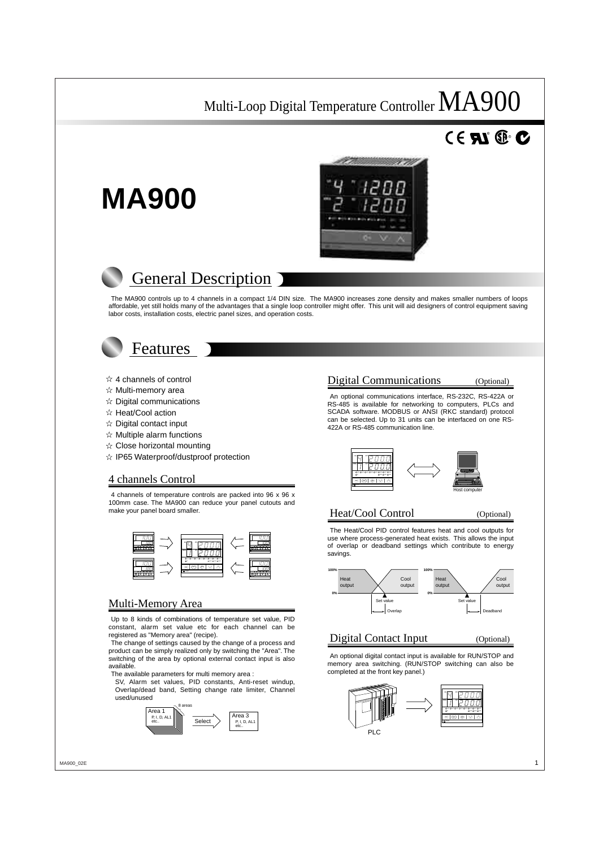# $^{\circ}$  RD.



# **MA900**

# General Description

The MA900 controls up to 4 channels in a compact 1/4 DIN size. The MA900 increases zone density and makes smaller numbers of loops affordable, yet still holds many of the advantages that a single loop controller might offer. This unit will aid designers of control equipment saving labor costs, installation costs, electric panel sizes, and operation costs.



- $\hat{x}$  4 channels of control
- $\hat{x}$  Multi-memory area
- $\hat{X}$  Digital communications
- $\hat{X}$  Heat/Cool action
- $\hat{x}$  Digital contact input
- $\hat{\mathbf{x}}$  Multiple alarm functions
- $\hat{x}$  Close horizontal mounting
- $\hat{x}$  IP65 Waterproof/dustproof protection

#### 4 channels Control

4 channels of temperature controls are packed into 96 x 96 x 100mm case. The MA900 can reduce your panel cutouts and make your panel board smaller.



#### Multi-Memory Area

Up to 8 kinds of combinations of temperature set value, PID constant, alarm set value etc for each channel can be registered as "Memory area" (recipe).

The change of settings caused by the change of a process and product can be simply realized only by switching the "Area". The switching of the area by optional external contact input is also available.

The available parameters for multi memory area :

SV, Alarm set values, PID constants, Anti-reset windup, Overlap/dead band, Setting change rate limiter, Channel used/unused



#### Digital Communications (Optional)

An optional communications interface, RS-232C, RS-422A or RS-485 is available for networking to computers, PLCs and SCADA software. MODBUS or ANSI (RKC standard) protocol can be selected. Up to 31 units can be interfaced on one RS-422A or RS-485 communication line.



#### Heat/Cool Control (Optional)

The Heat/Cool PID control features heat and cool outputs for use where process-generated heat exists. This allows the input of overlap or deadband settings which contribute to energy savings.



#### Digital Contact Input (Optional)

An optional digital contact input is available for RUN/STOP and memory area switching. (RUN/STOP switching can also be completed at the front key panel.)

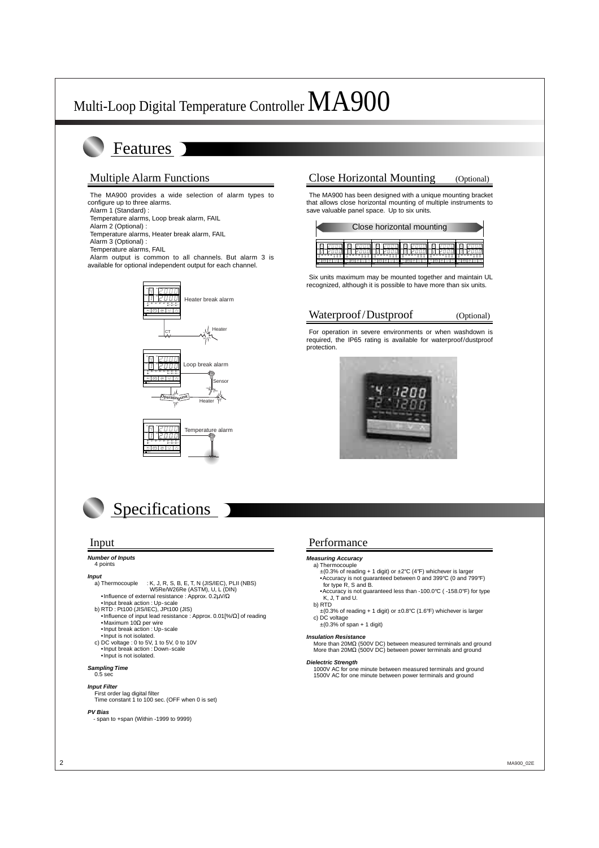## Features

#### Multiple Alarm Functions

The MA900 provides a wide selection of alarm types to configure up to three alarms. Alarm 1 (Standard) : Temperature alarms, Loop break alarm, FAIL Alarm 2 (Optional) :

Temperature alarms, Heater break alarm, FAIL

Alarm 3 (Optional) :

Temperature alarms, FAIL

Alarm output is common to all channels. But alarm 3 is available for optional independent output for each channel.







# **Specifications**

#### **Number of Inputs**

#### 4 points

**Input**<br>a) Thermocouple  $:$  K, J, R, S, B, E, T, N (JIS/IEC), PLII (NBS) W5Re/W26Re (ASTM), U, L (DIN)

•Influence of external resistance : Approx. 0.2µV/Ω

- •Input break action : Up-scale
- b) RTD : Pt100 (JIS/IEC), JPt100 (JIS)
- •Influence of input lead resistance : Approx. 0.01[%/Ω] of reading •Maximum 10Ω per wire •Input break action : Up-scale
	- •Input is not isolated.
- c) DC voltage : 0 to 5V, 1 to 5V, 0 to 10V •Input break action : Down-scale
- •Input is not isolated.

#### **Sampling Time**

#### 0.5 sec

#### **Input Filter**

First order lag digital filter Time constant 1 to 100 sec. (OFF when 0 is set)

#### **PV Bias**

- span to +span (Within -1999 to 9999)

### Close Horizontal Mounting (Optional)

The MA900 has been designed with a unique mounting bracket that allows close horizontal mounting of multiple instruments to save valuable panel space. Up to six units.

|               | Close horizontal mounting |                   |                 |               |                |  |  |  |
|---------------|---------------------------|-------------------|-----------------|---------------|----------------|--|--|--|
| <b>Family</b> | <b>Mariannia</b>          | <b>STATISTICS</b> | <b>Children</b> | <b>Carmen</b> | <b>Marinee</b> |  |  |  |

Six units maximum may be mounted together and maintain UL recognized, although it is possible to have more than six units.

#### Waterproof/Dustproof (Optional)

For operation in severe environments or when washdown is required, the IP65 rating is available for waterproof/dustproof protection.



#### Input Performance

#### **Measuring Accuracy**

- a) Thermocouple
	- $\pm$ (0.3% of reading + 1 digit) or  $\pm$ 2°C (4°F) whichever is larger •Accuracy is not guaranteed between 0 and 399°C (0 and 799°F) for type R, S and B.
	- •Accuracy is not guaranteed less than -100.0°C ( -158.0°F) for type K, J, T and U.
- b) RTD
- $\pm$ (0.3% of reading + 1 digit) or  $\pm$ 0.8°C (1.6°F) whichever is larger c) DC voltage

 $\pm$ (0.3% of span + 1 digit)

#### **Insulation Resistance**

More than 20MΩ (500V DC) between measured terminals and ground More than 20MΩ (500V DC) between power terminals and ground

#### **Dielectric Strength**

1000V AC for one minute between measured terminals and ground 1500V AC for one minute between power terminals and ground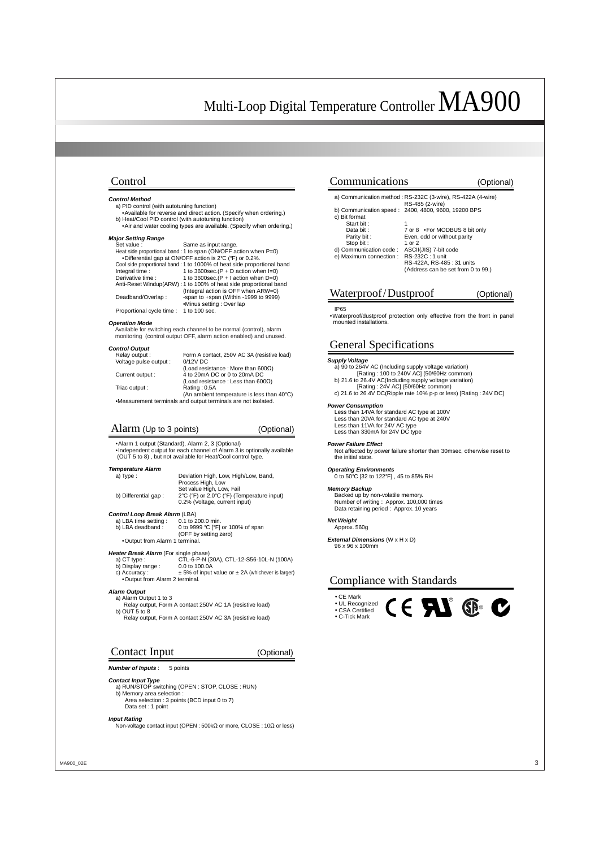#### Control

#### **Control Method**

- a) PID control (with autotuning function)
- •Available for reverse and direct action. (Specify when ordering.) b) Heat/Cool PID control (with autotuning function)
- •Air and water cooling types are available. (Specify when ordering.)

#### **Major Setting Range**

| Same as input range.                                                   |
|------------------------------------------------------------------------|
| Heat side proportional band : 1 to span (ON/OFF action when $P=0$ )    |
| •Differential gap at ON/OFF action is 2°C (°F) or 0.2%.                |
| Cool side proportional band: 1 to 1000% of heat side proportional band |
| 1 to 3600sec. $(P + D$ action when $I=0$ )                             |
| 1 to 3600sec. $(P + I$ action when $D=0$ )                             |
| Anti-Reset Windup(ARW): 1 to 100% of heat side proportional band       |
| (Integral action is OFF when ARW=0)                                    |
| -span to +span (Within -1999 to 9999)                                  |
| •Minus setting : Over lap                                              |
| Proportional cycle time : 1 to 100 sec.                                |
|                                                                        |

#### **Operation Mode**

Available for switching each channel to be normal (control), alarm monitoring (control output OFF, alarm action enabled) and unused.

#### **Control Output**

| Relay output:          | Form A contact, 250V AC 3A (resistive load) |
|------------------------|---------------------------------------------|
| Voltage pulse output : | $0/12V$ DC                                  |
|                        | (Load resistance: More than 600 $\Omega$ )  |
| Current output:        | 4 to 20mA DC or 0 to 20mA DC                |
|                        | (Load resistance: Less than 600 $\Omega$ )  |
| Triac output :         | Rating: 0.5A                                |
|                        | (An ambient temperature is less than 40°C)  |
|                        |                                             |

•Measurement terminals and output terminals are not isolated.

#### Alarm (Up to 3 points) (Optional)

•Alarm 1 output (Standard), Alarm 2, 3 (Optional) •Independent output for each channel of Alarm 3 is optionally available (OUT 5 to 8) , but not available for Heat/Cool control type.

#### **Temperature Alarm**

| a) Type:             | Deviation High, Low, High/Low, Band,       |
|----------------------|--------------------------------------------|
|                      | Process High, Low                          |
|                      | Set value High, Low. Fail                  |
| b) Differential gap: | 2°C (°F) or 2.0°C (°F) (Temperature input) |
|                      | 0.2% (Voltage, current input)              |

### **Control Loop Break Alarm** (LBA)<br>a) LBA time setting : 0.1 to 200.0 min.

a) LBA time setting :<br>b) LBA deadband : 0 to 9999 °C [°F] or 100% of span (OFF by setting zero) •Output from Alarm 1 terminal.

- **Heater Break Alarm** (For single phase)<br>a) CT type : CTL-6-P-N CTL-6-P-N (30A), CTL-12-S56-10L-N (100A)<br>0.0 to 100.0A
	- b) Display range : c) Accuracy :  $\pm$  5% of input value or  $\pm$  2A (whichever is larger)
	- •Output from Alarm 2 terminal.

#### **Alarm Output**

- a) Alarm Output 1 to 3
- Relay output, Form A contact 250V AC 1A (resistive load) b) OUT 5 to 8
- Relay output, Form A contact 250V AC 3A (resistive load)

#### Contact Input (Optional)

#### **Number of Inputs**: 5 points

#### **Contact Input Type**

- a) RUN/STOP switching (OPEN : STOP, CLOSE : RUN) b) Memory area selection :
- Area selection : 3 points (BCD input 0 to 7)
- Data set : 1 point

#### **Input Rating**

Non-voltage contact input (OPEN : 500kΩ or more, CLOSE : 10Ω or less)

| Communications          | ptional)                                                                       |
|-------------------------|--------------------------------------------------------------------------------|
|                         | a) Communication method: RS-232C (3-wire), RS-422A (4-wire)<br>RS-485 (2-wire) |
|                         | b) Communication speed: 2400, 4800, 9600, 19200 BPS                            |
| c) Bit format           |                                                                                |
| Start bit:              |                                                                                |
| Data bit:               | 7 or 8 • For MODBUS 8 bit only                                                 |
| Parity bit:             | Even, odd or without parity                                                    |
| Stop bit:               | 1 or $2$                                                                       |
| d) Communication code:  | ASCII(JIS) 7-bit code                                                          |
| e) Maximum connection : | RS-232C: 1 unit                                                                |
|                         | RS-422A, RS-485: 31 units                                                      |
|                         | (Address can be set from 0 to 99.)                                             |
|                         |                                                                                |
|                         |                                                                                |

### Waterproof/Dustproof (Optional)

#### IP65

•Waterproof/dustproof protection only effective from the front in panel mounted installations.

#### General Specifications

#### **Supply Voltage**

a) 90 to 264V AC (Including supply voltage variation)

- [Rating : 100 to 240V AC] (50/60Hz common) b) 21.6 to 26.4V AC(Including supply voltage variation)
	- [Rating : 24V AC] (50/60Hz common)
- c) 21.6 to 26.4V DC(Ripple rate 10% p-p or less) [Rating : 24V DC]

#### **Power Consumption**

Less than 14VA for standard AC type at 100V Less than 20VA for standard AC type at 240V Less than 11VA for 24V AC type Less than 330mA for 24V DC type

#### **Power Failure Effect**

Not affected by power failure shorter than 30msec, otherwise reset to the initial state.

#### **Operating Environments**

0 to 50°C [32 to 122°F] , 45 to 85% RH

#### **Memory Backup**

Backed up by non-volatile memory. Number of writing : Approx. 100,000 times Data retaining period : Approx. 10 years

#### **Net Weight**

Approx. 560g

**External Dimensions** (W x H x D) 96 x 96 x 100mm

#### Compliance with Standards

• CE Mark • UL Recognized • CSA Certified





R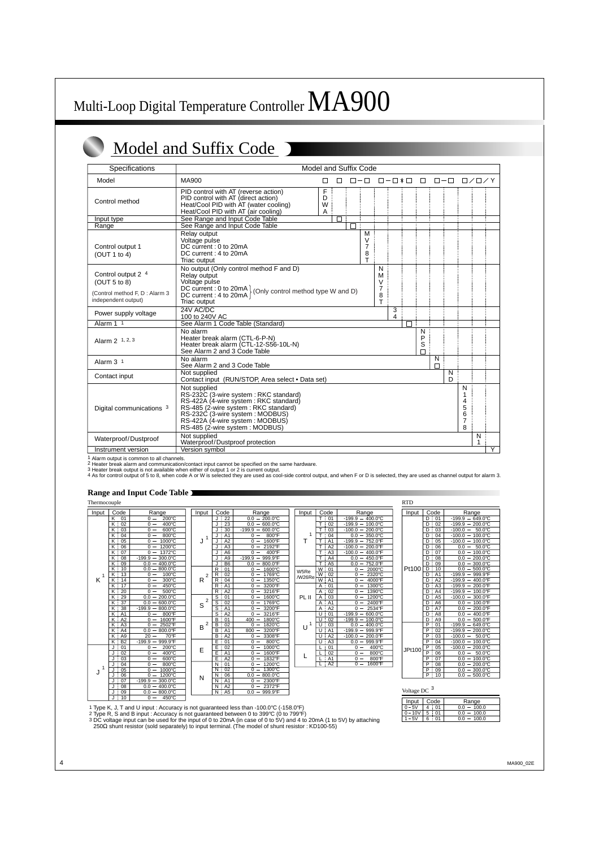# Model and Suffix Code D

| Specifications                                                       | <b>Model and Suffix Code</b>                                                                                                                                                                                                                     |                  |   |  |                            |                            |                      |   |                       |               |        |                                 |                             |                |
|----------------------------------------------------------------------|--------------------------------------------------------------------------------------------------------------------------------------------------------------------------------------------------------------------------------------------------|------------------|---|--|----------------------------|----------------------------|----------------------|---|-----------------------|---------------|--------|---------------------------------|-----------------------------|----------------|
| Model                                                                | MA900                                                                                                                                                                                                                                            | П                | П |  | $\Box - \Box$              |                            | $\Box - \Box * \Box$ |   | $\Box$                | $\Box - \Box$ |        |                                 | $\square$ / $\square$ / $Y$ |                |
| Control method                                                       | PID control with AT (reverse action)<br>PID control with AT (direct action)<br>Heat/Cool PID with AT (water cooling)<br>Heat/Cool PID with AT (air cooling)                                                                                      | F<br>D<br>W<br>Α |   |  |                            |                            |                      |   |                       |               |        |                                 |                             |                |
| Input type                                                           | See Range and Input Code Table                                                                                                                                                                                                                   |                  | П |  |                            |                            |                      |   |                       |               |        |                                 |                             |                |
| Range                                                                | See Range and Input Code Table                                                                                                                                                                                                                   |                  |   |  |                            |                            |                      |   |                       |               |        |                                 |                             |                |
| Control output 1<br>(OUT 1 to 4)                                     | Relay output<br>Voltage pulse<br>DC current: 0 to 20mA<br>DC current: 4 to 20mA<br>Triac output                                                                                                                                                  |                  |   |  | M<br>$\vee$<br>7<br>8<br>т |                            |                      |   |                       |               |        |                                 |                             |                |
| Control output 2 4<br>(OUT 5 to 8)<br>(Control method F, D : Alarm 3 | No output (Only control method F and D)<br>Relay output<br>Voltage pulse<br>DC current : 0 to 20mA (Only control method type W and D)<br>DC current : 4 to 20mA (Only control method type W and D)                                               |                  |   |  |                            | N<br>M<br>$\vee$<br>7<br>8 |                      |   |                       |               |        |                                 |                             |                |
| independent output)                                                  | Triac output                                                                                                                                                                                                                                     |                  |   |  |                            | T.                         |                      |   |                       |               |        |                                 |                             |                |
| Power supply voltage                                                 | 24V AC/DC<br>100 to 240V AC                                                                                                                                                                                                                      |                  |   |  |                            |                            | 3<br>4               |   |                       |               |        |                                 |                             |                |
| Alarm 1 1                                                            | See Alarm 1 Code Table (Standard)                                                                                                                                                                                                                |                  |   |  |                            |                            |                      | П |                       |               |        |                                 |                             |                |
| Alarm 2 1, 2, 3                                                      | No alarm<br>Heater break alarm (CTL-6-P-N)<br>Heater break alarm (CTL-12-S56-10L-N)<br>See Alarm 2 and 3 Code Table                                                                                                                              |                  |   |  |                            |                            |                      |   | N<br>P<br>S<br>$\Box$ |               |        |                                 |                             |                |
| Alarm $31$                                                           | No alarm<br>See Alarm 2 and 3 Code Table                                                                                                                                                                                                         |                  |   |  |                            |                            |                      |   |                       | N<br>$\Box$   |        |                                 |                             |                |
| Contact input                                                        | Not supplied<br>Contact input (RUN/STOP, Area select • Data set)                                                                                                                                                                                 |                  |   |  |                            |                            |                      |   |                       |               | N<br>D |                                 |                             |                |
| Digital communications 3                                             | Not supplied<br>RS-232C (3-wire system: RKC standard)<br>RS-422A (4-wire system: RKC standard)<br>RS-485 (2-wire system: RKC standard)<br>RS-232C (3-wire system : MODBUS)<br>RS-422A (4-wire system: MODBUS)<br>RS-485 (2-wire system : MODBUS) |                  |   |  |                            |                            |                      |   |                       |               |        | N<br>1<br>4<br>5<br>6<br>7<br>8 |                             |                |
| Waterproof/Dustproof                                                 | Not supplied<br>Waterproof/Dustproof protection                                                                                                                                                                                                  |                  |   |  |                            |                            |                      |   |                       |               |        |                                 | N<br>1                      |                |
| Instrument version                                                   | Version symbol                                                                                                                                                                                                                                   |                  |   |  |                            |                            |                      |   |                       |               |        |                                 |                             | $\overline{Y}$ |

1 Alarm output is common to all channels.<br>2 Heater break alarm and communication/contact input cannot be specified on the same hardware.<br>3 Heater break output is not available when either of output 1 or 2 is current output

#### **Range and Input Code Table**

| Thermocouple |
|--------------|
|--------------|

| Input | Code                | Range                      | Input          | Code                                      | Range                            | Input  | Code                     |       |
|-------|---------------------|----------------------------|----------------|-------------------------------------------|----------------------------------|--------|--------------------------|-------|
|       | K<br>01             | 200°C<br>$0 -$             |                | 22<br>۱.                                  | $0.0 - 200.0^{\circ}$ C          |        | тi<br>01                 | $-19$ |
|       | K:02                | 400°C<br>$0 -$             |                | 23<br>J.<br>÷                             | $0.0 - 600.0$ °C                 |        | т<br>02<br>÷             | $-19$ |
|       | $\overline{K}$ : 03 | $0 =$<br>$600^{\circ}$ C   |                | J<br>30                                   | $-199.9 - 600.0^{\circ}C$        |        | Τł<br>03                 | $-1($ |
|       | K:04                | 800°C<br>$0 -$             | 1              | A <sub>1</sub>                            | 800°F<br>0<br>$\qquad \qquad -$  | 1      | T<br>04<br>÷             |       |
|       | κ÷<br>05            | 1000°C<br>$0 -$            | J              | A <sub>2</sub><br>J                       | 1600°F<br>$\Omega$               | Т      | T<br>A <sub>1</sub>      | $-19$ |
|       | 06<br>K:            | 1200°C<br>$0 -$            |                | A <sub>3</sub><br>J                       | 2192°F<br>$0 -$                  |        | Ŧ<br>A2                  | $-10$ |
|       | κ÷<br>07            | 1372°C<br>$0 -$            |                | A6<br>J                                   | 400°F<br>$0 -$                   |        | T<br>A3                  | $-10$ |
|       | K :<br>08           | $-199.9 - 300.0^{\circ}$ C |                | A <sub>9</sub><br>J                       | $-199.9 - 999.9^{\circ}F$        |        | т<br>A4<br>÷             |       |
|       | Κi<br>09            | $0.0 - 400.0$ °C           |                | B <sub>6</sub><br>J                       | $0.0 - 800.0$ °F                 |        | т<br>A <sub>5</sub><br>÷ |       |
|       | $K \nmid 10$        | 800.0°C<br>$0.0 -$         |                | R:<br>01                                  | 1600°C<br>$0 -$                  | W5Re   | W: 01                    |       |
| 1     | K:13                | 100°C<br>$0 -$             | $\overline{2}$ | 02<br>R                                   | $0 -$<br>1769°C                  | /W26Re | W:<br>02                 |       |
| K     | 14<br>Κ÷            | 300°C<br>$0 -$             | R              | 04<br>R                                   | 1350°C<br>$\mathbf 0$            |        | W:<br>A <sub>1</sub>     |       |
|       | 17<br>K             | 450°C<br>$0 -$             |                | A1<br>R                                   | 3200°F<br>0                      |        | 01<br>Α                  |       |
|       | 20<br>κi            | 500°C<br>$0 -$             |                | A2<br>R                                   | 3216°F<br>$0 -$                  |        | 02<br>$\overline{A}$     |       |
|       | 29<br>Κİ            | $0.0 - 200.0^{\circ}$ C    | $\overline{2}$ | S<br>01                                   | 1600°C<br>$0 -$                  | PL II  | 03<br>A                  |       |
|       | 37<br>K :           | 600.0°C<br>$0.0 -$         | S              | S<br>02                                   | 1769°C<br>$0 -$                  |        | Α<br>A <sub>1</sub>      |       |
|       | κ÷<br>38            | 800.0°C<br>$-199.9 -$      |                | $\overline{s}$<br>÷<br>A <sub>1</sub>     | 3200°F<br>$0 -$                  |        | $\overline{A}$<br>A2     |       |
|       | K : A1              | 800°F<br>$0 -$             |                | s<br>A2                                   | 3216°F<br>$0 -$                  |        | U<br>01<br>÷             | $-19$ |
|       | K<br>A2             | 1600°F<br>$0 -$            |                | B<br>01                                   | 1800°C<br>$400 -$                |        | 02<br>U                  | $-19$ |
|       | A <sub>3</sub><br>Κ | 2502°F<br>$\mathbf 0$      | 2<br>B         | 02<br>B                                   | 1820°C<br>$\overline{0}$         | 1<br>U | 03<br>U                  |       |
|       | A4<br>Κ             | 800.0°F<br>0.0             |                | $\overline{\mathsf{B}}$<br>A <sub>1</sub> | 800<br>3200°F                    |        | A <sub>1</sub><br>U      | $-19$ |
|       | A <sub>9</sub><br>K | $20 -$<br>70°F             |                | A2<br>$\overline{\mathsf{B}}$             | 3308°F<br>$0 -$                  |        | A2<br>U                  | $-10$ |
|       | K<br><b>B2</b><br>÷ | 999.9°F<br>$-199.9 -$      |                | Ē<br>01                                   | 800°C<br>$0 -$                   |        | U<br>A <sub>3</sub>      |       |
|       | 01<br>J             | 200°C<br>$0 -$             | E              | E<br>02                                   | 1000°C<br>$0 -$                  |        | 01<br>L                  |       |
|       | J<br>02             | 400°C<br>$0 -$             |                | E<br>A <sub>1</sub><br>÷                  | $0 -$<br>1600°F                  | L      | 02<br>L                  |       |
|       | 03<br>J<br>÷        | $600^{\circ}$ C<br>$0 -$   |                | Ē<br>A2                                   | 1832°F<br>0<br>$\qquad \qquad -$ |        | A1<br>L                  |       |
| 1     | 04                  | 800°C<br>$0 -$             |                | 01<br>Ν<br>÷                              | 1200°C<br>0<br>$\qquad \qquad$   |        | $+A2$<br>L               |       |
| J     | 05<br>J             | 1000°C<br>$0 -$            |                | 02<br>N<br>÷                              | 1300°C<br>0                      |        |                          |       |
|       | 06<br>J             | 1200°C<br>$0 -$            | N              | 06<br>N<br>÷                              | 800.0°C<br>0.0                   |        |                          |       |
|       | 07<br>J             | 300.0°C<br>$-199.9 -$      |                | N : A1                                    | 2300°F<br>$0 -$                  |        |                          |       |
|       | 08<br>J             | $0.0 - 400.0^{\circ}$ C    |                | A2<br>N<br>÷                              | $0 - 2372$ °F                    |        |                          |       |
|       | 09<br>J             | $0.0 - 800.0^{\circ}C$     |                | A <sub>5</sub><br>N<br>÷                  | 999.9°F<br>$0.0 -$               |        |                          |       |
|       | ÷<br>10<br>J        | 450°C<br>$0 -$             |                |                                           |                                  |        |                          |       |

| Thermocouple |                        |                                                 |                     |                                  |                                                          |        |                     |                                                 | <b>RTD</b>       |
|--------------|------------------------|-------------------------------------------------|---------------------|----------------------------------|----------------------------------------------------------|--------|---------------------|-------------------------------------------------|------------------|
| Input        | Code                   | Range                                           | Input               | Code                             | Range                                                    | Input  | Code                | Range                                           | Inp              |
|              | 01<br>K                | $200^{\circ}C$<br>$0 -$                         |                     | 22                               | $-200.0^{\circ}$ C<br>0.0                                |        | T<br>: 01           | $-199.9 - 400.0^{\circ}$ C                      |                  |
|              | 02<br>K                | 400°C<br>$0 -$                                  |                     | 23                               | 0.0<br>$600.0^{\circ}$ C<br>$\qquad \qquad \blacksquare$ |        | T<br>02             | $-199.9 - 100.0^{\circ}$ C                      |                  |
|              | 03<br>ĸ                | 600°C<br>$0 -$                                  |                     | 30                               | $-199.9$<br>600.0°C<br>$\overline{\phantom{m}}$          |        | т<br>03             | 200.0°C<br>$-100.0$<br>$\overline{\phantom{m}}$ |                  |
|              | 04<br>Κ                | 800°C<br>$0 -$                                  | 1                   | A <sub>1</sub>                   | $0 -$<br>800°F                                           |        | т<br>04             | 0.0<br>350.0°C<br>$\qquad \qquad -$             |                  |
|              | 05<br>κ                | 1000°C<br>$0 -$                                 | J                   | A2                               | $0 -$<br>1600°F                                          | т      | A <sub>1</sub>      | $-199.9$<br>752.0°F<br>$\qquad \qquad -$        |                  |
|              | 06<br>κ                | $0 -$<br>1200°C                                 |                     | A <sub>3</sub>                   | $0 -$<br>2192°F                                          |        | A2                  | $-100.0 - 200.0$ °F                             |                  |
|              | 07<br>κ                | $0 -$<br>1372°C                                 |                     | A <sub>6</sub>                   | $0 -$<br>400°F                                           |        | A <sub>3</sub>      | $-100.0$<br>400.0°F<br>$\overline{\phantom{m}}$ |                  |
|              | 08<br>K :              | 300.0°C<br>$-199.9 -$                           |                     | A <sub>9</sub>                   | $-199.9$<br>$-999.9^{\circ}F$                            |        | T<br>A4             | 450.0°F<br>0.0<br>$\qquad \qquad -$             |                  |
|              | 09<br>ĸ                | $0.0 -$<br>400.0°C                              |                     | B <sub>6</sub>                   | 0.0<br>800.0°F<br>$\hspace{0.1mm}-\hspace{0.1mm}$        |        | T<br>A <sub>5</sub> | 0.0<br>752.0°F<br>$\qquad \qquad$               |                  |
|              | K<br>10<br>÷           | 0.0<br>800.0°C<br>$\overline{\phantom{0}}$      |                     | $\mathsf{R}$<br>01               | $0 -$<br>1600°C                                          | W5Re   | W<br>01             | $0 -$<br>2000°C                                 | Pt1              |
|              | 13<br>ĸ<br>÷           | 100°C<br>$0 -$                                  | $\overline{2}$      | $\mathsf{R}$<br>02               | $0 -$<br>1769°C                                          | /W26Re | W<br>02             | $0 -$<br>2320°C                                 |                  |
| K            | 14<br>ĸ                | 300°C<br>$0 -$                                  | R                   | 04<br>R                          | $0 -$<br>1350°C                                          |        | W<br>A <sub>1</sub> | 4000°F<br>$\Omega$                              |                  |
|              | 17<br>κ                | $0 -$<br>450°C                                  |                     | R<br>A <sub>1</sub>              | 3200°F<br>$0 -$                                          |        | 01<br>A             | 1300°C<br>$0 -$                                 |                  |
|              | 20<br>κ                | 500°C<br>$\Omega -$                             |                     | R<br>A <sub>2</sub>              | 3216°F<br>$0 -$                                          |        | 02<br>Α             | 1390°C<br>$\Omega -$                            |                  |
|              | 29<br>Κ                | 200.0°C<br>0.0<br>$-$                           |                     | S<br>01                          | 1600°C<br>$0 -$                                          | PL II  | 03<br>A             | 1200°C<br>$0 -$                                 |                  |
|              | $\overline{37}$<br>K : | 0.0<br>600.0°C                                  | $\overline{2}$<br>S | 02<br>s                          | 1769°C<br>$0 -$                                          |        | A1<br>A             | 2400°F<br>$0 -$                                 |                  |
|              | 38<br>ĸ                | $-199.9$<br>800.0°C<br>$\overline{\phantom{0}}$ |                     | S<br>A <sub>1</sub>              | $0 -$<br>3200°F                                          |        | A2<br>A             | $0 -$<br>2534°F                                 |                  |
|              | : A1<br>κ              | 800°F<br>$0 -$                                  |                     | S<br>A2                          | 3216°F<br>$\Omega -$                                     |        | 01<br>U             | $-199.9$<br>$600.0$ °C<br>$\qquad \qquad -$     |                  |
|              | A2<br>κ                | $0 -$<br>1600°F                                 |                     | B<br>01                          | 400<br>1800°C                                            |        | 02<br>U             | $-199.9$<br>100.0°C<br>$\overline{\phantom{m}}$ |                  |
|              | A <sub>3</sub><br>κ    | $0 -$<br>2502°F                                 | $\overline{2}$<br>B | 02<br>B                          | $0 -$<br>1820°C                                          | Ù      | 03<br>U             | 0.0<br>400.0°C<br>$\qquad \qquad -$             |                  |
|              | A4<br>ĸ                | 800.0°F<br>0.0                                  |                     | $\overline{B}$<br>A <sub>1</sub> | 3200°F<br>800                                            |        | A <sub>1</sub><br>U | $-199.9$<br>999.9°F                             |                  |
|              | A9<br>κ                | 20<br>70°F                                      |                     | A2<br>B                          | 3308°F<br>$0 -$                                          |        | A2<br>U             | 200.0°F<br>$-100.0$<br>$\qquad \qquad$          |                  |
|              | <b>B2</b><br>Κ         | $-199.9$<br>999.9°F<br>$\qquad \qquad -$        |                     | E<br>01                          | $0 -$<br>800°C                                           |        | A <sub>3</sub><br>U | 0.0<br>999.9°F                                  |                  |
|              | 01                     | $0 -$<br>200°C                                  | E                   | Е<br>02                          | 1000°C<br>$0 -$                                          |        | 01                  | $0 -$<br>400°C                                  | JPt <sup>-</sup> |
|              | 02                     | 400°C<br>$0 -$                                  |                     | E<br>A <sub>1</sub>              | $0 -$<br>1600°F                                          |        | 02                  | 800°C<br>$0 -$                                  |                  |
|              | 03                     | 600°C<br>$0 -$                                  |                     | E<br>A2                          | 1832°F<br>$0 -$                                          |        | A <sub>1</sub>      | 800°F<br>$\Omega$<br>$\overline{\phantom{m}}$   |                  |
|              | 04                     | 800°C<br>$0 -$                                  |                     | N<br>01                          | $0 -$<br>1200°C                                          |        | $+A2$<br>L          | 1600°F<br>$0 -$                                 |                  |
| 1            | 05                     | 1000°C<br>$0 -$                                 |                     | 02<br>N                          | 1300°C<br>$\Omega -$                                     |        |                     |                                                 |                  |
| J            | 06                     | 1200°C<br>$0 -$                                 | N                   | 06<br>N                          | 800.0°C<br>0.0<br>$\qquad \qquad \blacksquare$           |        |                     |                                                 |                  |
|              | 07<br>U÷               | $300.0^{\circ}$ C<br>$-199.9 -$                 |                     | A1<br>N                          | 2300°F<br>$\Omega$<br>$\overline{\phantom{a}}$           |        |                     |                                                 |                  |

| ᇿ      |                                              |                                                 |
|--------|----------------------------------------------|-------------------------------------------------|
| Input  | Code                                         | Range                                           |
|        | 01                                           | 649.0°C<br>$-199.9$                             |
|        | 02<br>D                                      | $200.0$ °C<br>$-199.9$                          |
|        | D<br>03                                      | 50.0°C<br>$-100.0$                              |
|        | $\overline{D}$ : 04                          | 100.0°C<br>$-100.0$<br>$\overline{\phantom{0}}$ |
|        | $\frac{1}{2}$ 05<br>D                        | 100.0°C<br>$-100.0 -$                           |
|        | $\overline{\mathsf{D}}$<br>$\frac{1}{2}$ 06  | $50.0^{\circ}$ C<br>$0.0\,$                     |
|        | D<br>t<br>07                                 | 100.0°C<br>0.0                                  |
|        | D<br>08                                      | 200.0°C<br>$0.0\,$                              |
|        | $\overline{\mathsf{D}}$<br>F<br>09           | 300.0°C<br>0.0                                  |
| Pt100  | $\overline{\mathsf{D}}$<br>$\overline{1}$ 10 | 500.0°C<br>0.0<br>$\overline{\phantom{0}}$      |
|        | I<br>D<br>$\overline{A1}$                    | 999.9°F<br>$-199.9$                             |
|        | ī<br>D<br>A2                                 | 400.0°F<br>$-199.9$<br>-                        |
|        | ō<br>ĩ<br>A3                                 | 200.0°F<br>$-199.9$                             |
|        | Ŧ<br>$A\bar{A}$<br>D                         | $100.0^{\circ}$ F<br>$-199.9$                   |
|        | D<br>: A5                                    | $300.0^{\circ}$ F<br>$-100.0$<br>—              |
|        | D<br>: A6                                    | 100.0°F<br>0.0<br>÷                             |
|        | $\frac{1}{2}$ A7<br>D                        | 200.0°F<br>$0.0\,$                              |
|        | D<br>A8                                      | 400.0°F<br>$0.0\,$                              |
|        | Đ<br>Ţ<br>A <sub>9</sub>                     | 500.0°F<br>0.0<br>-                             |
|        | P<br>01                                      | $-649.0^{\circ}$ C<br>$-199.9$                  |
|        | $\overline{\mathsf{P}}$<br>02<br>î.          | $200.0$ °C<br>$-199.9$                          |
|        | $\overline{\mathsf{P}}$<br>т<br>03           | $50.0^{\circ}$ C<br>$-100.0$                    |
| JPt100 | $\overline{\mathsf{P}}$<br>04                | $100.0^{\circ}$ C<br>$-100.0$                   |
|        | P<br>05                                      | $-100.0$<br>200.0°C                             |
|        | $\overline{\mathsf{P}}$<br>Ŧ<br>06           | $50.0^{\circ}$ C<br>0.0                         |
|        | P<br>ŗ<br>07                                 | 100.0°C<br>0.0                                  |
|        | $\overline{P}$<br>: 08                       | 200.0°C<br>0.0                                  |
|        | P<br>09                                      | $300.0^\circ C$<br>$0.0\,$                      |
|        | P<br>10                                      | 500.0°C<br>0.0                                  |
|        |                                              |                                                 |

| Voltage DC |  |
|------------|--|
|------------|--|

| Input           | Code       | Range        |
|-----------------|------------|--------------|
|                 | $^{\circ}$ | 100.0        |
| 10 <sub>V</sub> | 5          | 100.0<br>ሰ በ |
|                 |            | 100 O        |

1 Type K, J, T and U input : Accuracy is not guaranteed less than -100.0°C (-158.0°F)<br>2 Type R, S and B input : Accuracy is not guaranteed between 0 to 399°C (0 to 799°F)<br>3 DC voltage input can be used for the input of 0 t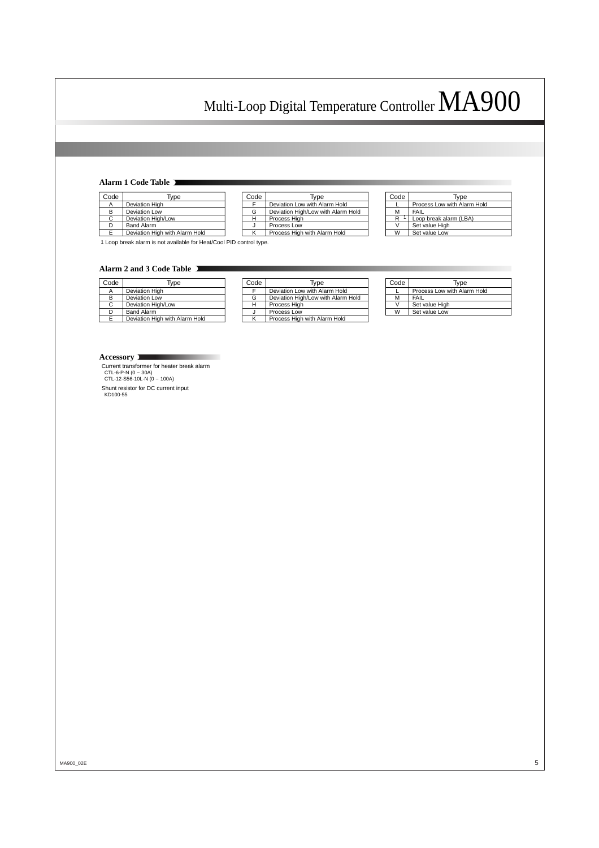#### **Alarm 1 Code Table**

| Code | Type                           |
|------|--------------------------------|
|      | <b>Deviation High</b>          |
| в    | Deviation Low                  |
| C    | Deviation High/Low             |
|      | <b>Band Alarm</b>              |
| F    | Deviation High with Alarm Hold |

| Code | Type                               |
|------|------------------------------------|
|      | Deviation Low with Alarm Hold      |
| G    | Deviation High/Low with Alarm Hold |
| н    | Process High                       |
|      | Process Low                        |
|      | Process High with Alarm Hold       |

| Code | Type                        |
|------|-----------------------------|
|      | Process Low with Alarm Hold |
| м    | FAIL                        |
| R    | Loop break alarm (LBA)      |
|      | Set value High              |
| w    | Set value Low               |

1 Loop break alarm is not available for Heat/Cool PID control type.

#### **Alarm 2 and 3 Code Table**

| Code | Type                           | 50 |
|------|--------------------------------|----|
|      | Deviation High                 |    |
|      | <b>Deviation Low</b>           | G  |
|      | Deviation High/Low             | ۲  |
|      | <b>Band Alarm</b>              |    |
|      | Deviation High with Alarm Hold | ĸ  |

| Code | Tvpe                               |
|------|------------------------------------|
|      | Deviation Low with Alarm Hold      |
| G    | Deviation High/Low with Alarm Hold |
|      | Process High                       |
|      | Process Low                        |
|      | Process High with Alarm Hold       |

| Code | Type                        |
|------|-----------------------------|
|      | Process Low with Alarm Hold |
| м    | FAIL                        |
|      | Set value High              |
| W    | Set value Low               |

#### **Accessory**

Current transformer for heater break alarm CTL-6-P-N (0 - 30A) CTL-12-S56-10L-N (0 - 100A)

Shunt resistor for DC current input KD100-55